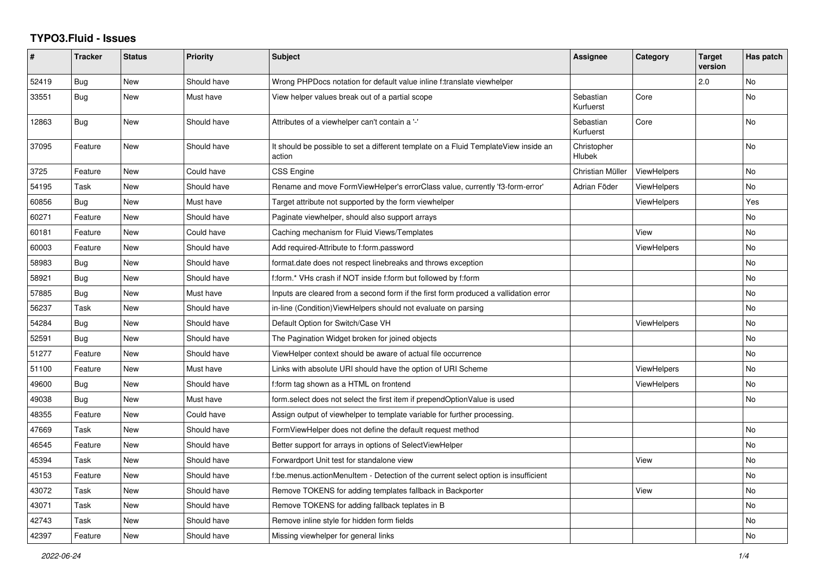## **TYPO3.Fluid - Issues**

| #     | <b>Tracker</b> | <b>Status</b> | Priority    | Subject                                                                                       | Assignee               | Category           | <b>Target</b><br>version | Has patch      |
|-------|----------------|---------------|-------------|-----------------------------------------------------------------------------------------------|------------------------|--------------------|--------------------------|----------------|
| 52419 | <b>Bug</b>     | <b>New</b>    | Should have | Wrong PHPDocs notation for default value inline f:translate viewhelper                        |                        |                    | 2.0                      | N <sub>o</sub> |
| 33551 | Bug            | <b>New</b>    | Must have   | View helper values break out of a partial scope                                               | Sebastian<br>Kurfuerst | Core               |                          | No             |
| 12863 | Bug            | <b>New</b>    | Should have | Attributes of a viewhelper can't contain a '-'                                                | Sebastian<br>Kurfuerst | Core               |                          | No             |
| 37095 | Feature        | <b>New</b>    | Should have | It should be possible to set a different template on a Fluid TemplateView inside an<br>action | Christopher<br>Hlubek  |                    |                          | No             |
| 3725  | Feature        | New           | Could have  | CSS Engine                                                                                    | Christian Müller       | <b>ViewHelpers</b> |                          | No             |
| 54195 | Task           | New           | Should have | Rename and move FormViewHelper's errorClass value, currently 'f3-form-error'                  | Adrian Föder           | ViewHelpers        |                          | No             |
| 60856 | Bug            | <b>New</b>    | Must have   | Target attribute not supported by the form viewhelper                                         |                        | <b>ViewHelpers</b> |                          | Yes            |
| 60271 | Feature        | <b>New</b>    | Should have | Paginate viewhelper, should also support arrays                                               |                        |                    |                          | No.            |
| 60181 | Feature        | <b>New</b>    | Could have  | Caching mechanism for Fluid Views/Templates                                                   |                        | View               |                          | No             |
| 60003 | Feature        | New           | Should have | Add required-Attribute to f:form.password                                                     |                        | ViewHelpers        |                          | No             |
| 58983 | Bug            | <b>New</b>    | Should have | format.date does not respect linebreaks and throws exception                                  |                        |                    |                          | No             |
| 58921 | Bug            | <b>New</b>    | Should have | f:form.* VHs crash if NOT inside f:form but followed by f:form                                |                        |                    |                          | No             |
| 57885 | Bug            | New           | Must have   | Inputs are cleared from a second form if the first form produced a vallidation error          |                        |                    |                          | No             |
| 56237 | Task           | New           | Should have | in-line (Condition) View Helpers should not evaluate on parsing                               |                        |                    |                          | No             |
| 54284 | <b>Bug</b>     | New           | Should have | Default Option for Switch/Case VH                                                             |                        | ViewHelpers        |                          | No             |
| 52591 | <b>Bug</b>     | <b>New</b>    | Should have | The Pagination Widget broken for joined objects                                               |                        |                    |                          | <b>No</b>      |
| 51277 | Feature        | New           | Should have | ViewHelper context should be aware of actual file occurrence                                  |                        |                    |                          | No             |
| 51100 | Feature        | <b>New</b>    | Must have   | Links with absolute URI should have the option of URI Scheme                                  |                        | <b>ViewHelpers</b> |                          | No             |
| 49600 | Bug            | New           | Should have | f:form tag shown as a HTML on frontend                                                        |                        | ViewHelpers        |                          | No             |
| 49038 | <b>Bug</b>     | <b>New</b>    | Must have   | form.select does not select the first item if prependOptionValue is used                      |                        |                    |                          | No             |
| 48355 | Feature        | New           | Could have  | Assign output of viewhelper to template variable for further processing.                      |                        |                    |                          |                |
| 47669 | Task           | <b>New</b>    | Should have | FormViewHelper does not define the default request method                                     |                        |                    |                          | No             |
| 46545 | Feature        | New           | Should have | Better support for arrays in options of SelectViewHelper                                      |                        |                    |                          | No             |
| 45394 | Task           | <b>New</b>    | Should have | Forwardport Unit test for standalone view                                                     |                        | View               |                          | No             |
| 45153 | Feature        | New           | Should have | f:be.menus.actionMenuItem - Detection of the current select option is insufficient            |                        |                    |                          | No             |
| 43072 | Task           | New           | Should have | Remove TOKENS for adding templates fallback in Backporter                                     |                        | View               |                          | No             |
| 43071 | Task           | <b>New</b>    | Should have | Remove TOKENS for adding fallback teplates in B                                               |                        |                    |                          | No             |
| 42743 | Task           | New           | Should have | Remove inline style for hidden form fields                                                    |                        |                    |                          | No             |
| 42397 | Feature        | <b>New</b>    | Should have | Missing viewhelper for general links                                                          |                        |                    |                          | No.            |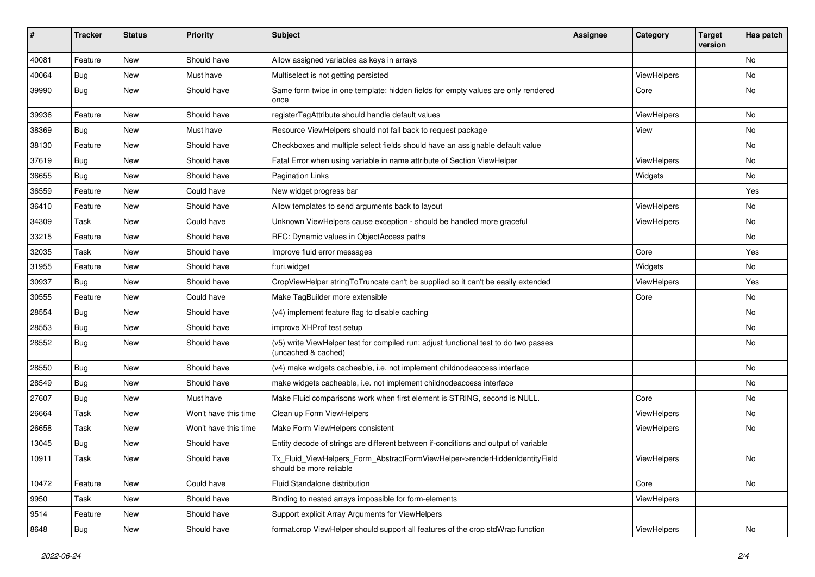| ∦     | <b>Tracker</b> | <b>Status</b> | <b>Priority</b>      | Subject                                                                                                     | <b>Assignee</b> | Category           | <b>Target</b><br>version | Has patch |
|-------|----------------|---------------|----------------------|-------------------------------------------------------------------------------------------------------------|-----------------|--------------------|--------------------------|-----------|
| 40081 | Feature        | New           | Should have          | Allow assigned variables as keys in arrays                                                                  |                 |                    |                          | No        |
| 40064 | Bug            | New           | Must have            | Multiselect is not getting persisted                                                                        |                 | <b>ViewHelpers</b> |                          | No        |
| 39990 | Bug            | New           | Should have          | Same form twice in one template: hidden fields for empty values are only rendered<br>once                   |                 | Core               |                          | No        |
| 39936 | Feature        | New           | Should have          | registerTagAttribute should handle default values                                                           |                 | <b>ViewHelpers</b> |                          | No        |
| 38369 | <b>Bug</b>     | New           | Must have            | Resource ViewHelpers should not fall back to request package                                                |                 | View               |                          | No        |
| 38130 | Feature        | New           | Should have          | Checkboxes and multiple select fields should have an assignable default value                               |                 |                    |                          | No        |
| 37619 | Bug            | New           | Should have          | Fatal Error when using variable in name attribute of Section ViewHelper                                     |                 | ViewHelpers        |                          | No.       |
| 36655 | Bug            | <b>New</b>    | Should have          | <b>Pagination Links</b>                                                                                     |                 | Widgets            |                          | No        |
| 36559 | Feature        | New           | Could have           | New widget progress bar                                                                                     |                 |                    |                          | Yes       |
| 36410 | Feature        | New           | Should have          | Allow templates to send arguments back to layout                                                            |                 | ViewHelpers        |                          | No.       |
| 34309 | Task           | New           | Could have           | Unknown ViewHelpers cause exception - should be handled more graceful                                       |                 | ViewHelpers        |                          | No        |
| 33215 | Feature        | New           | Should have          | RFC: Dynamic values in ObjectAccess paths                                                                   |                 |                    |                          | No        |
| 32035 | Task           | New           | Should have          | Improve fluid error messages                                                                                |                 | Core               |                          | Yes       |
| 31955 | Feature        | New           | Should have          | f:uri.widget                                                                                                |                 | Widgets            |                          | No        |
| 30937 | Bug            | New           | Should have          | CropViewHelper stringToTruncate can't be supplied so it can't be easily extended                            |                 | ViewHelpers        |                          | Yes       |
| 30555 | Feature        | New           | Could have           | Make TagBuilder more extensible                                                                             |                 | Core               |                          | No        |
| 28554 | Bug            | New           | Should have          | (v4) implement feature flag to disable caching                                                              |                 |                    |                          | No        |
| 28553 | Bug            | <b>New</b>    | Should have          | improve XHProf test setup                                                                                   |                 |                    |                          | No        |
| 28552 | Bug            | New           | Should have          | (v5) write ViewHelper test for compiled run; adjust functional test to do two passes<br>(uncached & cached) |                 |                    |                          | No        |
| 28550 | Bug            | New           | Should have          | (v4) make widgets cacheable, i.e. not implement childnodeaccess interface                                   |                 |                    |                          | No        |
| 28549 | Bug            | New           | Should have          | make widgets cacheable, i.e. not implement childnodeaccess interface                                        |                 |                    |                          | No        |
| 27607 | <b>Bug</b>     | New           | Must have            | Make Fluid comparisons work when first element is STRING, second is NULL.                                   |                 | Core               |                          | No        |
| 26664 | Task           | New           | Won't have this time | Clean up Form ViewHelpers                                                                                   |                 | ViewHelpers        |                          | No        |
| 26658 | Task           | New           | Won't have this time | Make Form ViewHelpers consistent                                                                            |                 | ViewHelpers        |                          | No        |
| 13045 | Bug            | New           | Should have          | Entity decode of strings are different between if-conditions and output of variable                         |                 |                    |                          |           |
| 10911 | Task           | New           | Should have          | Tx_Fluid_ViewHelpers_Form_AbstractFormViewHelper->renderHiddenIdentityField<br>should be more reliable      |                 | ViewHelpers        |                          | No        |
| 10472 | Feature        | New           | Could have           | Fluid Standalone distribution                                                                               |                 | Core               |                          | No        |
| 9950  | Task           | New           | Should have          | Binding to nested arrays impossible for form-elements                                                       |                 | ViewHelpers        |                          |           |
| 9514  | Feature        | New           | Should have          | Support explicit Array Arguments for ViewHelpers                                                            |                 |                    |                          |           |
| 8648  | <b>Bug</b>     | New           | Should have          | format.crop ViewHelper should support all features of the crop stdWrap function                             |                 | ViewHelpers        |                          | No        |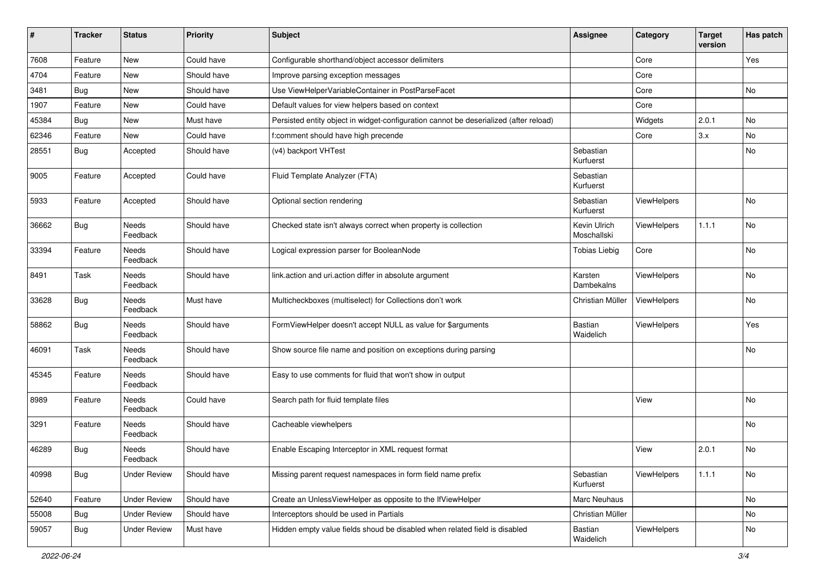| ∦     | <b>Tracker</b> | <b>Status</b>            | <b>Priority</b> | <b>Subject</b>                                                                        | <b>Assignee</b>             | Category    | <b>Target</b><br>version | Has patch |
|-------|----------------|--------------------------|-----------------|---------------------------------------------------------------------------------------|-----------------------------|-------------|--------------------------|-----------|
| 7608  | Feature        | New                      | Could have      | Configurable shorthand/object accessor delimiters                                     |                             | Core        |                          | Yes       |
| 4704  | Feature        | New                      | Should have     | Improve parsing exception messages                                                    |                             | Core        |                          |           |
| 3481  | Bug            | New                      | Should have     | Use ViewHelperVariableContainer in PostParseFacet                                     |                             | Core        |                          | No        |
| 1907  | Feature        | New                      | Could have      | Default values for view helpers based on context                                      |                             | Core        |                          |           |
| 45384 | <b>Bug</b>     | New                      | Must have       | Persisted entity object in widget-configuration cannot be deserialized (after reload) |                             | Widgets     | 2.0.1                    | No        |
| 62346 | Feature        | New                      | Could have      | f:comment should have high precende                                                   |                             | Core        | 3.x                      | <b>No</b> |
| 28551 | Bug            | Accepted                 | Should have     | (v4) backport VHTest                                                                  | Sebastian<br>Kurfuerst      |             |                          | No        |
| 9005  | Feature        | Accepted                 | Could have      | Fluid Template Analyzer (FTA)                                                         | Sebastian<br>Kurfuerst      |             |                          |           |
| 5933  | Feature        | Accepted                 | Should have     | Optional section rendering                                                            | Sebastian<br>Kurfuerst      | ViewHelpers |                          | No        |
| 36662 | Bug            | Needs<br>Feedback        | Should have     | Checked state isn't always correct when property is collection                        | Kevin Ulrich<br>Moschallski | ViewHelpers | 1.1.1                    | No        |
| 33394 | Feature        | Needs<br>Feedback        | Should have     | Logical expression parser for BooleanNode                                             | <b>Tobias Liebig</b>        | Core        |                          | <b>No</b> |
| 8491  | Task           | <b>Needs</b><br>Feedback | Should have     | link.action and uri.action differ in absolute argument                                | Karsten<br>Dambekalns       | ViewHelpers |                          | No        |
| 33628 | Bug            | Needs<br>Feedback        | Must have       | Multicheckboxes (multiselect) for Collections don't work                              | Christian Müller            | ViewHelpers |                          | No        |
| 58862 | <b>Bug</b>     | Needs<br>Feedback        | Should have     | FormViewHelper doesn't accept NULL as value for \$arguments                           | Bastian<br>Waidelich        | ViewHelpers |                          | Yes       |
| 46091 | Task           | Needs<br>Feedback        | Should have     | Show source file name and position on exceptions during parsing                       |                             |             |                          | No        |
| 45345 | Feature        | Needs<br>Feedback        | Should have     | Easy to use comments for fluid that won't show in output                              |                             |             |                          |           |
| 8989  | Feature        | Needs<br>Feedback        | Could have      | Search path for fluid template files                                                  |                             | View        |                          | No        |
| 3291  | Feature        | Needs<br>Feedback        | Should have     | Cacheable viewhelpers                                                                 |                             |             |                          | <b>No</b> |
| 46289 | <b>Bug</b>     | Needs<br>Feedback        | Should have     | Enable Escaping Interceptor in XML request format                                     |                             | View        | 2.0.1                    | No        |
| 40998 | <b>Bug</b>     | Under Review             | Should have     | Missing parent request namespaces in form field name prefix                           | Sebastian<br>Kurfuerst      | ViewHelpers | 1.1.1                    | No        |
| 52640 | Feature        | <b>Under Review</b>      | Should have     | Create an UnlessViewHelper as opposite to the IfViewHelper                            | Marc Neuhaus                |             |                          | No        |
| 55008 | <b>Bug</b>     | <b>Under Review</b>      | Should have     | Interceptors should be used in Partials                                               | Christian Müller            |             |                          | No        |
| 59057 | Bug            | <b>Under Review</b>      | Must have       | Hidden empty value fields shoud be disabled when related field is disabled            | Bastian<br>Waidelich        | ViewHelpers |                          | No        |